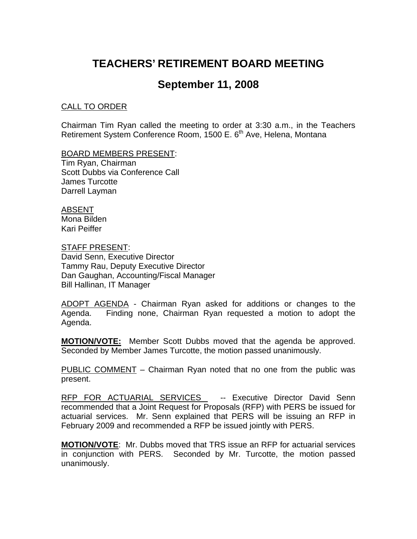# **TEACHERS' RETIREMENT BOARD MEETING**

## **September 11, 2008**

#### CALL TO ORDER

Chairman Tim Ryan called the meeting to order at 3:30 a.m., in the Teachers Retirement System Conference Room, 1500 E. 6<sup>th</sup> Ave, Helena, Montana

#### BOARD MEMBERS PRESENT:

Tim Ryan, Chairman Scott Dubbs via Conference Call James Turcotte Darrell Layman

#### ABSENT Mona Bilden

Kari Peiffer

### STAFF PRESENT:

David Senn, Executive Director Tammy Rau, Deputy Executive Director Dan Gaughan, Accounting/Fiscal Manager Bill Hallinan, IT Manager

ADOPT AGENDA - Chairman Ryan asked for additions or changes to the Agenda. Finding none, Chairman Ryan requested a motion to adopt the Agenda.

**MOTION/VOTE:** Member Scott Dubbs moved that the agenda be approved. Seconded by Member James Turcotte, the motion passed unanimously.

PUBLIC COMMENT – Chairman Ryan noted that no one from the public was present.

RFP FOR ACTUARIAL SERVICES -- Executive Director David Senn recommended that a Joint Request for Proposals (RFP) with PERS be issued for actuarial services. Mr. Senn explained that PERS will be issuing an RFP in February 2009 and recommended a RFP be issued jointly with PERS.

**MOTION/VOTE**: Mr. Dubbs moved that TRS issue an RFP for actuarial services in conjunction with PERS. Seconded by Mr. Turcotte, the motion passed unanimously.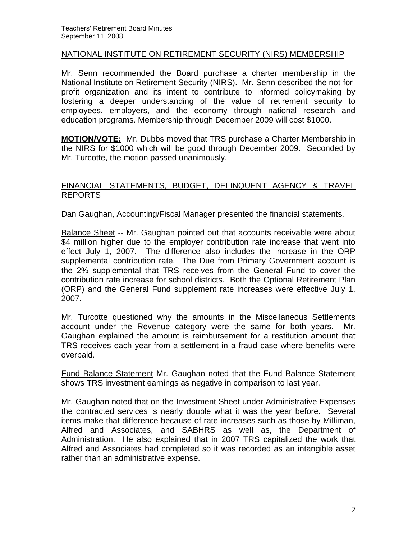#### NATIONAL INSTITUTE ON RETIREMENT SECURITY (NIRS) MEMBERSHIP

Mr. Senn recommended the Board purchase a charter membership in the National Institute on Retirement Security (NIRS). Mr. Senn described the not-forprofit organization and its intent to contribute to informed policymaking by fostering a deeper understanding of the value of retirement security to employees, employers, and the economy through national research and education programs. Membership through December 2009 will cost \$1000.

**MOTION/VOTE:** Mr. Dubbs moved that TRS purchase a Charter Membership in the NIRS for \$1000 which will be good through December 2009. Seconded by Mr. Turcotte, the motion passed unanimously.

### FINANCIAL STATEMENTS, BUDGET, DELINQUENT AGENCY & TRAVEL REPORTS

Dan Gaughan, Accounting/Fiscal Manager presented the financial statements.

Balance Sheet -- Mr. Gaughan pointed out that accounts receivable were about \$4 million higher due to the employer contribution rate increase that went into effect July 1, 2007. The difference also includes the increase in the ORP supplemental contribution rate. The Due from Primary Government account is the 2% supplemental that TRS receives from the General Fund to cover the contribution rate increase for school districts. Both the Optional Retirement Plan (ORP) and the General Fund supplement rate increases were effective July 1, 2007.

Mr. Turcotte questioned why the amounts in the Miscellaneous Settlements account under the Revenue category were the same for both years. Mr. Gaughan explained the amount is reimbursement for a restitution amount that TRS receives each year from a settlement in a fraud case where benefits were overpaid.

Fund Balance Statement Mr. Gaughan noted that the Fund Balance Statement shows TRS investment earnings as negative in comparison to last year.

Mr. Gaughan noted that on the Investment Sheet under Administrative Expenses the contracted services is nearly double what it was the year before. Several items make that difference because of rate increases such as those by Milliman, Alfred and Associates, and SABHRS as well as, the Department of Administration. He also explained that in 2007 TRS capitalized the work that Alfred and Associates had completed so it was recorded as an intangible asset rather than an administrative expense.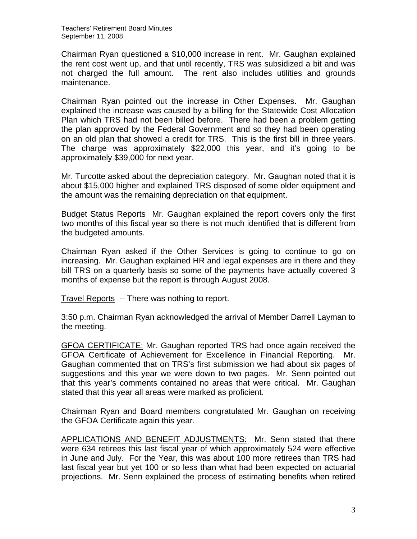Chairman Ryan questioned a \$10,000 increase in rent. Mr. Gaughan explained the rent cost went up, and that until recently, TRS was subsidized a bit and was not charged the full amount. The rent also includes utilities and grounds maintenance.

Chairman Ryan pointed out the increase in Other Expenses. Mr. Gaughan explained the increase was caused by a billing for the Statewide Cost Allocation Plan which TRS had not been billed before. There had been a problem getting the plan approved by the Federal Government and so they had been operating on an old plan that showed a credit for TRS. This is the first bill in three years. The charge was approximately \$22,000 this year, and it's going to be approximately \$39,000 for next year.

Mr. Turcotte asked about the depreciation category. Mr. Gaughan noted that it is about \$15,000 higher and explained TRS disposed of some older equipment and the amount was the remaining depreciation on that equipment.

Budget Status Reports Mr. Gaughan explained the report covers only the first two months of this fiscal year so there is not much identified that is different from the budgeted amounts.

Chairman Ryan asked if the Other Services is going to continue to go on increasing. Mr. Gaughan explained HR and legal expenses are in there and they bill TRS on a quarterly basis so some of the payments have actually covered 3 months of expense but the report is through August 2008.

Travel Reports -- There was nothing to report.

3:50 p.m. Chairman Ryan acknowledged the arrival of Member Darrell Layman to the meeting.

GFOA CERTIFICATE: Mr. Gaughan reported TRS had once again received the GFOA Certificate of Achievement for Excellence in Financial Reporting. Mr. Gaughan commented that on TRS's first submission we had about six pages of suggestions and this year we were down to two pages. Mr. Senn pointed out that this year's comments contained no areas that were critical. Mr. Gaughan stated that this year all areas were marked as proficient.

Chairman Ryan and Board members congratulated Mr. Gaughan on receiving the GFOA Certificate again this year.

APPLICATIONS AND BENEFIT ADJUSTMENTS: Mr. Senn stated that there were 634 retirees this last fiscal year of which approximately 524 were effective in June and July. For the Year, this was about 100 more retirees than TRS had last fiscal year but yet 100 or so less than what had been expected on actuarial projections. Mr. Senn explained the process of estimating benefits when retired